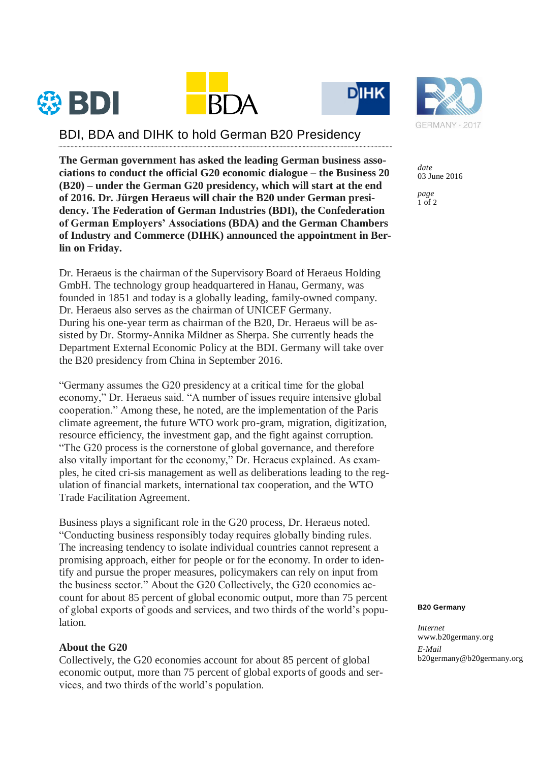





## BDI, BDA and DIHK to hold German B20 Presidency

**The German government has asked the leading German business associations to conduct the official G20 economic dialogue – the Business 20 (B20) – under the German G20 presidency, which will start at the end of 2016. Dr. Jürgen Heraeus will chair the B20 under German presidency. The Federation of German Industries (BDI), the Confederation of German Employers' Associations (BDA) and the German Chambers of Industry and Commerce (DIHK) announced the appointment in Berlin on Friday.**

Dr. Heraeus is the chairman of the Supervisory Board of Heraeus Holding GmbH. The technology group headquartered in Hanau, Germany, was founded in 1851 and today is a globally leading, family-owned company. Dr. Heraeus also serves as the chairman of UNICEF Germany. During his one-year term as chairman of the B20, Dr. Heraeus will be assisted by Dr. Stormy-Annika Mildner as Sherpa. She currently heads the Department External Economic Policy at the BDI. Germany will take over the B20 presidency from China in September 2016.

"Germany assumes the G20 presidency at a critical time for the global economy," Dr. Heraeus said. "A number of issues require intensive global cooperation." Among these, he noted, are the implementation of the Paris climate agreement, the future WTO work pro-gram, migration, digitization, resource efficiency, the investment gap, and the fight against corruption. "The G20 process is the cornerstone of global governance, and therefore also vitally important for the economy," Dr. Heraeus explained. As examples, he cited cri-sis management as well as deliberations leading to the regulation of financial markets, international tax cooperation, and the WTO Trade Facilitation Agreement.

Business plays a significant role in the G20 process, Dr. Heraeus noted. "Conducting business responsibly today requires globally binding rules. The increasing tendency to isolate individual countries cannot represent a promising approach, either for people or for the economy. In order to identify and pursue the proper measures, policymakers can rely on input from the business sector." About the G20 Collectively, the G20 economies account for about 85 percent of global economic output, more than 75 percent of global exports of goods and services, and two thirds of the world's population.

## **About the G20**

Collectively, the G20 economies account for about 85 percent of global economic output, more than 75 percent of global exports of goods and services, and two thirds of the world's population.



*date* 03 June 2016

*page*  $1$  of 2

## **B20 Germany**

*Internet* www.b20germany.org *E-Mail* b20germany@b20germany.org